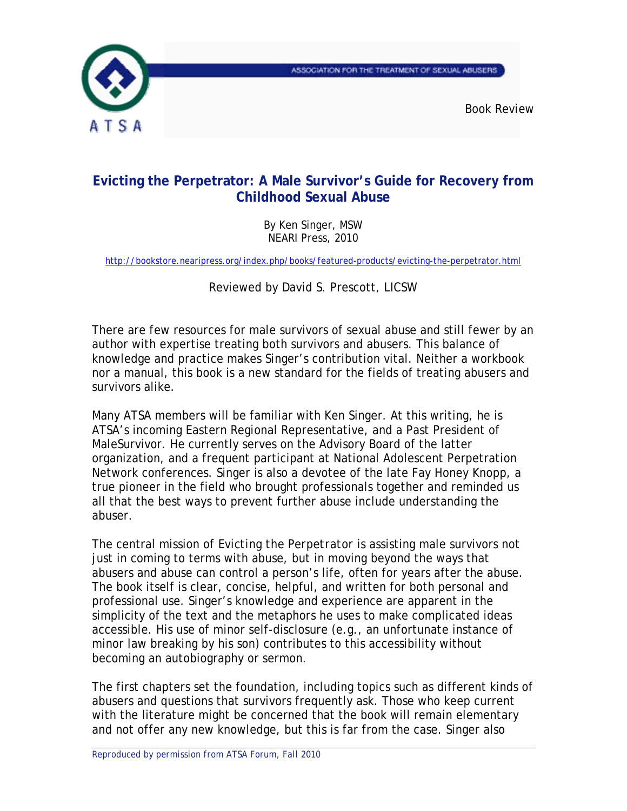



*Book Review* 

## **Evicting the Perpetrator: A Male Survivor's Guide for Recovery from Childhood Sexual Abuse**

By Ken Singer, MSW NEARI Press, 2010

http://bookstore.nearipress.org/index.php/books/featured-products/evicting-the-perpetrator.html

Reviewed by David S. Prescott, LICSW

There are few resources for male survivors of sexual abuse and still fewer by an author with expertise treating both survivors and abusers. This balance of knowledge and practice makes Singer's contribution vital. Neither a workbook nor a manual, this book is a new standard for the fields of treating abusers and survivors alike.

Many ATSA members will be familiar with Ken Singer. At this writing, he is ATSA's incoming Eastern Regional Representative, and a Past President of MaleSurvivor. He currently serves on the Advisory Board of the latter organization, and a frequent participant at National Adolescent Perpetration Network conferences. Singer is also a devotee of the late Fay Honey Knopp, a true pioneer in the field who brought professionals together and reminded us all that the best ways to prevent further abuse include understanding the abuser.

The central mission of *Evicting the Perpetrator* is assisting male survivors not just in coming to terms with abuse, but in moving beyond the ways that abusers and abuse can control a person's life, often for years after the abuse. The book itself is clear, concise, helpful, and written for both personal and professional use. Singer's knowledge and experience are apparent in the simplicity of the text and the metaphors he uses to make complicated ideas accessible. His use of minor self-disclosure (e.g., an unfortunate instance of minor law breaking by his son) contributes to this accessibility without becoming an autobiography or sermon.

The first chapters set the foundation, including topics such as different kinds of abusers and questions that survivors frequently ask. Those who keep current with the literature might be concerned that the book will remain elementary and not offer any new knowledge, but this is far from the case. Singer also